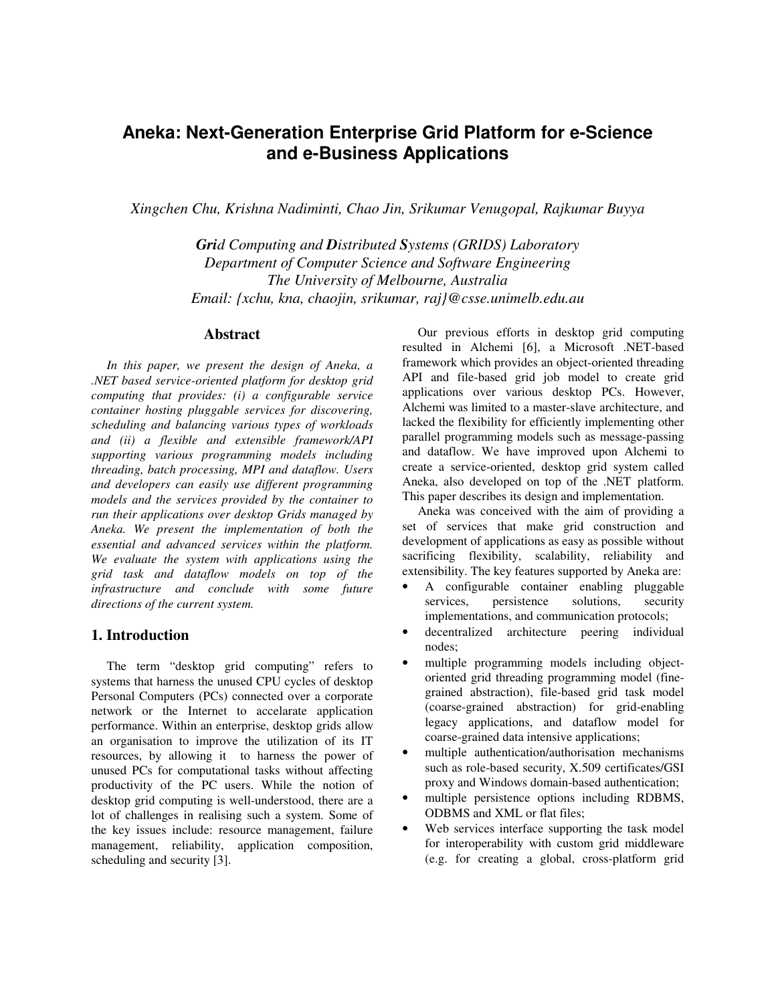# **Aneka: Next-Generation Enterprise Grid Platform for e-Science and e-Business Applications**

*Xingchen Chu, Krishna Nadiminti, Chao Jin, Srikumar Venugopal, Rajkumar Buyya*

*Grid Computing and Distributed Systems (GRIDS) Laboratory Department of Computer Science and Software Engineering The University of Melbourne, Australia Email: {xchu, kna, chaojin, srikumar, raj}@csse.unimelb.edu.au*

#### **Abstract**

*In this paper, we present the design of Aneka, a .NET based service-oriented platform for desktop grid computing that provides: (i) a configurable service container hosting pluggable services for discovering, scheduling and balancing various types of workloads and (ii) a flexible and extensible framework/API supporting various programming models including threading, batch processing, MPI and dataflow. Users and developers can easily use different programming models and the services provided by the container to run their applications over desktop Grids managed by Aneka. We present the implementation of both the essential and advanced services within the platform. We evaluate the system with applications using the grid task and dataflow models on top of the infrastructure and conclude with some future directions of the current system.* 

#### **1. Introduction**

The term "desktop grid computing" refers to systems that harness the unused CPU cycles of desktop Personal Computers (PCs) connected over a corporate network or the Internet to accelarate application performance. Within an enterprise, desktop grids allow an organisation to improve the utilization of its IT resources, by allowing it to harness the power of unused PCs for computational tasks without affecting productivity of the PC users. While the notion of desktop grid computing is well-understood, there are a lot of challenges in realising such a system. Some of the key issues include: resource management, failure management, reliability, application composition, scheduling and security [3].

Our previous efforts in desktop grid computing resulted in Alchemi [6], a Microsoft .NET-based framework which provides an object-oriented threading API and file-based grid job model to create grid applications over various desktop PCs. However, Alchemi was limited to a master-slave architecture, and lacked the flexibility for efficiently implementing other parallel programming models such as message-passing and dataflow. We have improved upon Alchemi to create a service-oriented, desktop grid system called Aneka, also developed on top of the .NET platform. This paper describes its design and implementation.

Aneka was conceived with the aim of providing a set of services that make grid construction and development of applications as easy as possible without sacrificing flexibility, scalability, reliability and extensibility. The key features supported by Aneka are:

- A configurable container enabling pluggable services, persistence solutions, security implementations, and communication protocols;
- decentralized architecture peering individual nodes;
- multiple programming models including objectoriented grid threading programming model (finegrained abstraction), file-based grid task model (coarse-grained abstraction) for grid-enabling legacy applications, and dataflow model for coarse-grained data intensive applications;
- multiple authentication/authorisation mechanisms such as role-based security, X.509 certificates/GSI proxy and Windows domain-based authentication;
- multiple persistence options including RDBMS, ODBMS and XML or flat files;
- Web services interface supporting the task model for interoperability with custom grid middleware (e.g. for creating a global, cross-platform grid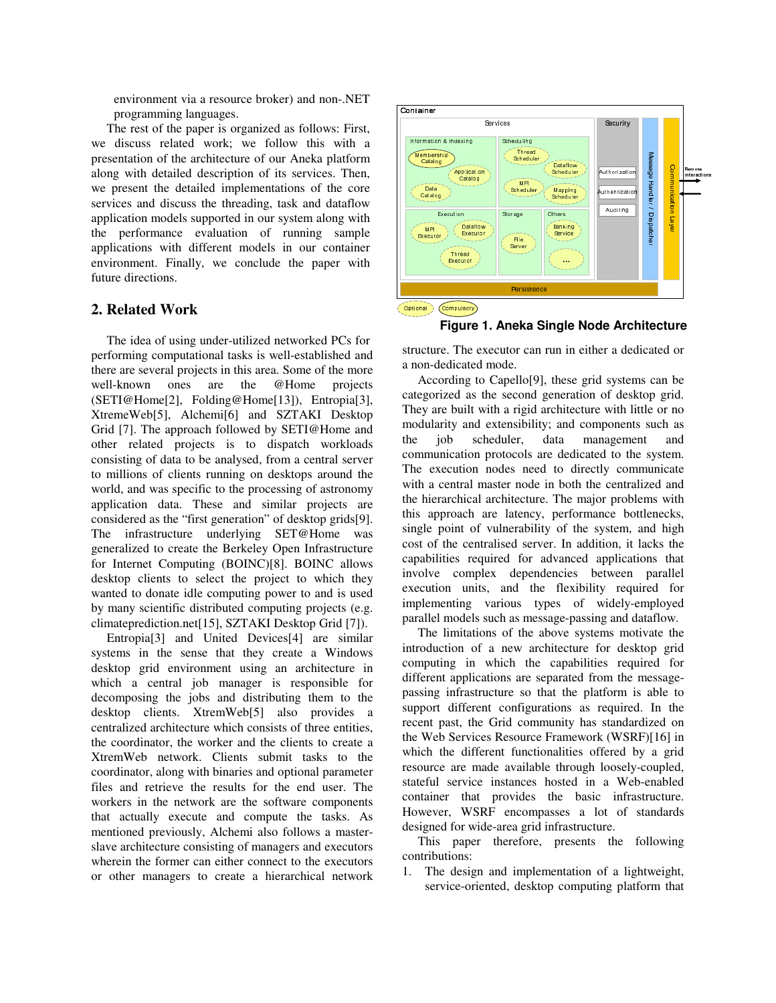environment via a resource broker) and non-.NET programming languages.

The rest of the paper is organized as follows: First, we discuss related work; we follow this with a presentation of the architecture of our Aneka platform along with detailed description of its services. Then, we present the detailed implementations of the core services and discuss the threading, task and dataflow application models supported in our system along with the performance evaluation of running sample applications with different models in our container environment. Finally, we conclude the paper with future directions.

## **2. Related Work**

The idea of using under-utilized networked PCs for performing computational tasks is well-established and there are several projects in this area. Some of the more well-known ones are the @Home projects (SETI@Home[2], Folding@Home[13]), Entropia[3], XtremeWeb[5], Alchemi[6] and SZTAKI Desktop Grid [7]. The approach followed by SETI@Home and other related projects is to dispatch workloads consisting of data to be analysed, from a central server to millions of clients running on desktops around the world, and was specific to the processing of astronomy application data. These and similar projects are considered as the "first generation" of desktop grids[9]. The infrastructure underlying SET@Home was generalized to create the Berkeley Open Infrastructure for Internet Computing (BOINC)[8]. BOINC allows desktop clients to select the project to which they wanted to donate idle computing power to and is used by many scientific distributed computing projects (e.g. climateprediction.net[15], SZTAKI Desktop Grid [7]).

Entropia[3] and United Devices[4] are similar systems in the sense that they create a Windows desktop grid environment using an architecture in which a central job manager is responsible for decomposing the jobs and distributing them to the desktop clients. XtremWeb[5] also provides a centralized architecture which consists of three entities, the coordinator, the worker and the clients to create a XtremWeb network. Clients submit tasks to the coordinator, along with binaries and optional parameter files and retrieve the results for the end user. The workers in the network are the software components that actually execute and compute the tasks. As mentioned previously, Alchemi also follows a masterslave architecture consisting of managers and executors wherein the former can either connect to the executors or other managers to create a hierarchical network



**Figure 1. Aneka Single Node Architecture** 

structure. The executor can run in either a dedicated or a non-dedicated mode.

According to Capello[9], these grid systems can be categorized as the second generation of desktop grid. They are built with a rigid architecture with little or no modularity and extensibility; and components such as the job scheduler, data management and communication protocols are dedicated to the system. The execution nodes need to directly communicate with a central master node in both the centralized and the hierarchical architecture. The major problems with this approach are latency, performance bottlenecks, single point of vulnerability of the system, and high cost of the centralised server. In addition, it lacks the capabilities required for advanced applications that involve complex dependencies between parallel execution units, and the flexibility required for implementing various types of widely-employed parallel models such as message-passing and dataflow.

The limitations of the above systems motivate the introduction of a new architecture for desktop grid computing in which the capabilities required for different applications are separated from the messagepassing infrastructure so that the platform is able to support different configurations as required. In the recent past, the Grid community has standardized on the Web Services Resource Framework (WSRF)[16] in which the different functionalities offered by a grid resource are made available through loosely-coupled, stateful service instances hosted in a Web-enabled container that provides the basic infrastructure. However, WSRF encompasses a lot of standards designed for wide-area grid infrastructure.

This paper therefore, presents the following contributions:

1. The design and implementation of a lightweight, service-oriented, desktop computing platform that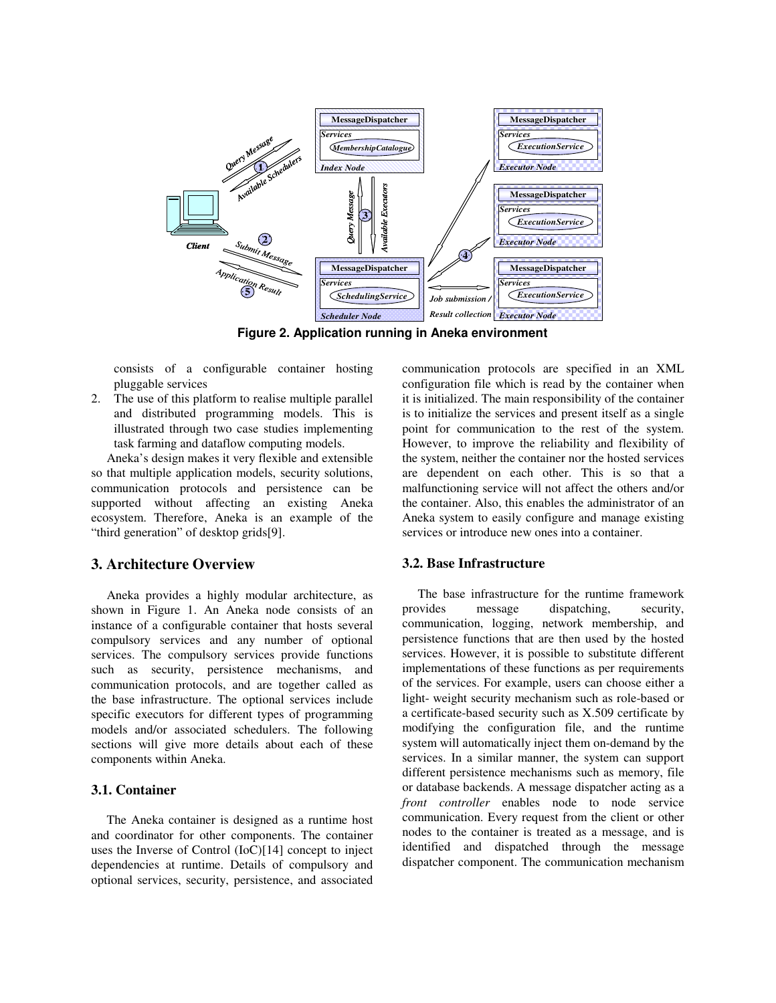

**Figure 2. Application running in Aneka environment** 

consists of a configurable container hosting pluggable services

2. The use of this platform to realise multiple parallel and distributed programming models. This is illustrated through two case studies implementing task farming and dataflow computing models.

Aneka's design makes it very flexible and extensible so that multiple application models, security solutions, communication protocols and persistence can be supported without affecting an existing Aneka ecosystem. Therefore, Aneka is an example of the "third generation" of desktop grids[9].

### **3. Architecture Overview**

Aneka provides a highly modular architecture, as shown in Figure 1. An Aneka node consists of an instance of a configurable container that hosts several compulsory services and any number of optional services. The compulsory services provide functions such as security, persistence mechanisms, and communication protocols, and are together called as the base infrastructure. The optional services include specific executors for different types of programming models and/or associated schedulers. The following sections will give more details about each of these components within Aneka.

#### **3.1. Container**

The Aneka container is designed as a runtime host and coordinator for other components. The container uses the Inverse of Control (IoC)[14] concept to inject dependencies at runtime. Details of compulsory and optional services, security, persistence, and associated communication protocols are specified in an XML configuration file which is read by the container when it is initialized. The main responsibility of the container is to initialize the services and present itself as a single point for communication to the rest of the system. However, to improve the reliability and flexibility of the system, neither the container nor the hosted services are dependent on each other. This is so that a malfunctioning service will not affect the others and/or the container. Also, this enables the administrator of an Aneka system to easily configure and manage existing services or introduce new ones into a container.

#### **3.2. Base Infrastructure**

The base infrastructure for the runtime framework provides message dispatching, security, communication, logging, network membership, and persistence functions that are then used by the hosted services. However, it is possible to substitute different implementations of these functions as per requirements of the services. For example, users can choose either a light- weight security mechanism such as role-based or a certificate-based security such as X.509 certificate by modifying the configuration file, and the runtime system will automatically inject them on-demand by the services. In a similar manner, the system can support different persistence mechanisms such as memory, file or database backends. A message dispatcher acting as a *front controller* enables node to node service communication. Every request from the client or other nodes to the container is treated as a message, and is identified and dispatched through the message dispatcher component. The communication mechanism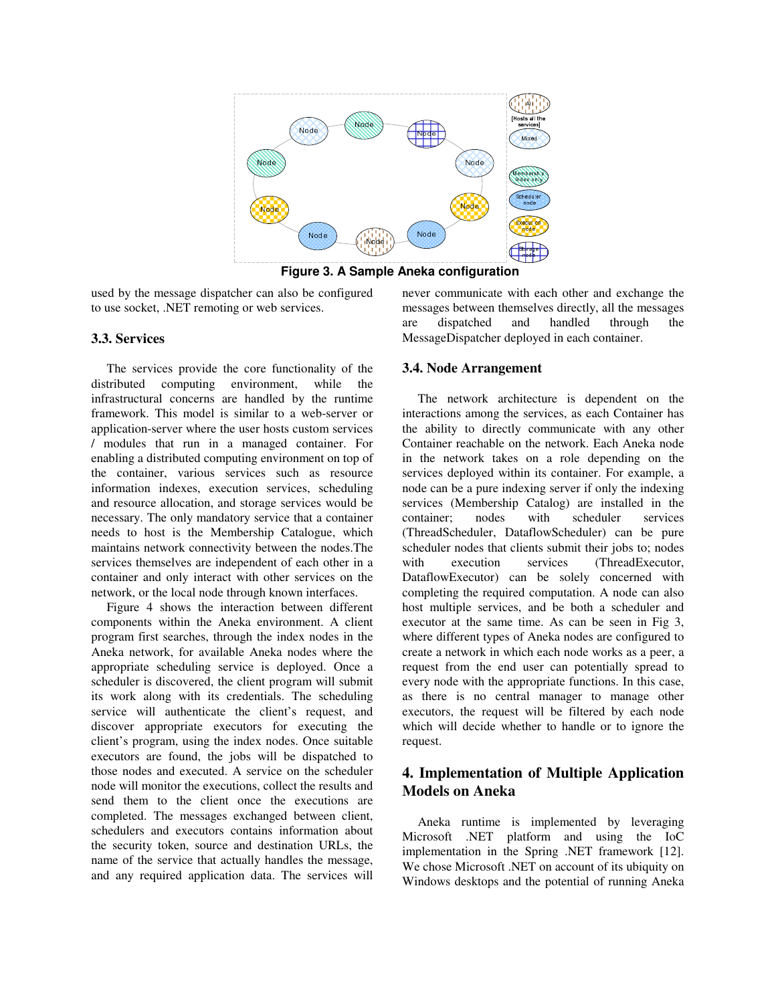

**Figure 3. A Sample Aneka configuration** 

used by the message dispatcher can also be configured to use socket, .NET remoting or web services.

#### **3.3. Services**

The services provide the core functionality of the distributed computing environment, while the infrastructural concerns are handled by the runtime framework. This model is similar to a web-server or application-server where the user hosts custom services / modules that run in a managed container. For enabling a distributed computing environment on top of the container, various services such as resource information indexes, execution services, scheduling and resource allocation, and storage services would be necessary. The only mandatory service that a container needs to host is the Membership Catalogue, which maintains network connectivity between the nodes.The services themselves are independent of each other in a container and only interact with other services on the network, or the local node through known interfaces.

Figure 4 shows the interaction between different components within the Aneka environment. A client program first searches, through the index nodes in the Aneka network, for available Aneka nodes where the appropriate scheduling service is deployed. Once a scheduler is discovered, the client program will submit its work along with its credentials. The scheduling service will authenticate the client's request, and discover appropriate executors for executing the client's program, using the index nodes. Once suitable executors are found, the jobs will be dispatched to those nodes and executed. A service on the scheduler node will monitor the executions, collect the results and send them to the client once the executions are completed. The messages exchanged between client, schedulers and executors contains information about the security token, source and destination URLs, the name of the service that actually handles the message, and any required application data. The services will

never communicate with each other and exchange the messages between themselves directly, all the messages are dispatched and handled through the MessageDispatcher deployed in each container.

#### **3.4. Node Arrangement**

The network architecture is dependent on the interactions among the services, as each Container has the ability to directly communicate with any other Container reachable on the network. Each Aneka node in the network takes on a role depending on the services deployed within its container. For example, a node can be a pure indexing server if only the indexing services (Membership Catalog) are installed in the container; nodes with scheduler services (ThreadScheduler, DataflowScheduler) can be pure scheduler nodes that clients submit their jobs to; nodes with execution services (ThreadExecutor, DataflowExecutor) can be solely concerned with completing the required computation. A node can also host multiple services, and be both a scheduler and executor at the same time. As can be seen in Fig 3, where different types of Aneka nodes are configured to create a network in which each node works as a peer, a request from the end user can potentially spread to every node with the appropriate functions. In this case, as there is no central manager to manage other executors, the request will be filtered by each node which will decide whether to handle or to ignore the request.

## **4. Implementation of Multiple Application Models on Aneka**

Aneka runtime is implemented by leveraging Microsoft .NET platform and using the IoC implementation in the Spring .NET framework [12]. We chose Microsoft .NET on account of its ubiquity on Windows desktops and the potential of running Aneka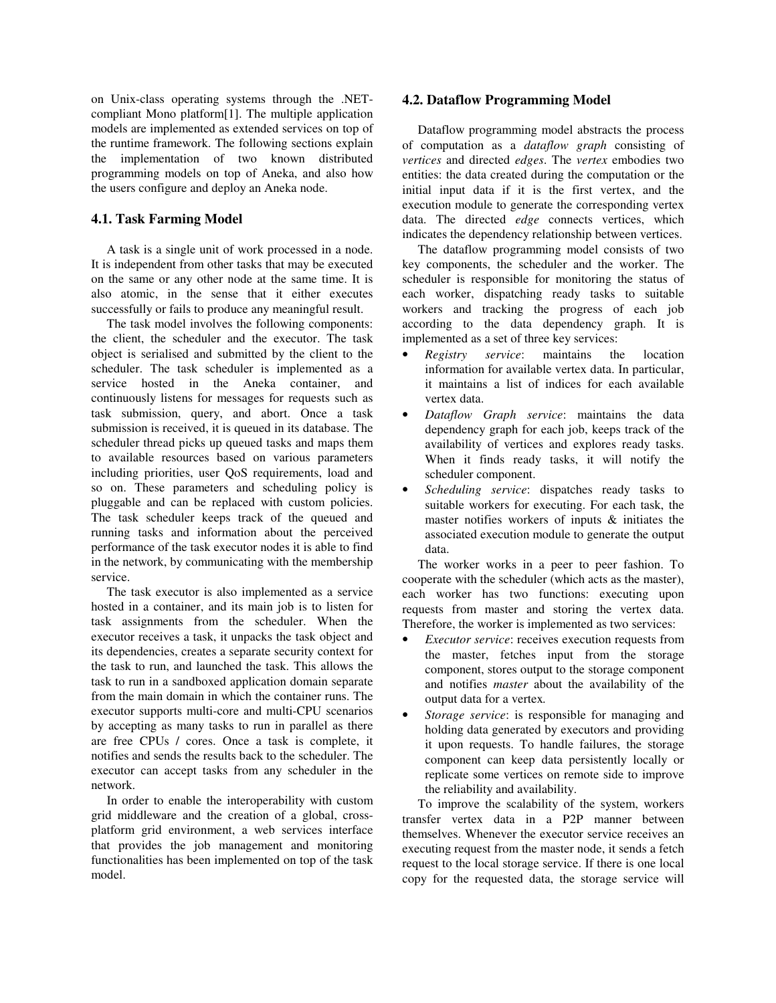on Unix-class operating systems through the .NETcompliant Mono platform[1]. The multiple application models are implemented as extended services on top of the runtime framework. The following sections explain the implementation of two known distributed programming models on top of Aneka, and also how the users configure and deploy an Aneka node.

#### **4.1. Task Farming Model**

A task is a single unit of work processed in a node. It is independent from other tasks that may be executed on the same or any other node at the same time. It is also atomic, in the sense that it either executes successfully or fails to produce any meaningful result.

The task model involves the following components: the client, the scheduler and the executor. The task object is serialised and submitted by the client to the scheduler. The task scheduler is implemented as a service hosted in the Aneka container, and continuously listens for messages for requests such as task submission, query, and abort. Once a task submission is received, it is queued in its database. The scheduler thread picks up queued tasks and maps them to available resources based on various parameters including priorities, user QoS requirements, load and so on. These parameters and scheduling policy is pluggable and can be replaced with custom policies. The task scheduler keeps track of the queued and running tasks and information about the perceived performance of the task executor nodes it is able to find in the network, by communicating with the membership service.

The task executor is also implemented as a service hosted in a container, and its main job is to listen for task assignments from the scheduler. When the executor receives a task, it unpacks the task object and its dependencies, creates a separate security context for the task to run, and launched the task. This allows the task to run in a sandboxed application domain separate from the main domain in which the container runs. The executor supports multi-core and multi-CPU scenarios by accepting as many tasks to run in parallel as there are free CPUs / cores. Once a task is complete, it notifies and sends the results back to the scheduler. The executor can accept tasks from any scheduler in the network.

In order to enable the interoperability with custom grid middleware and the creation of a global, crossplatform grid environment, a web services interface that provides the job management and monitoring functionalities has been implemented on top of the task model.

#### **4.2. Dataflow Programming Model**

Dataflow programming model abstracts the process of computation as a *dataflow graph* consisting of *vertices* and directed *edges*. The *vertex* embodies two entities: the data created during the computation or the initial input data if it is the first vertex, and the execution module to generate the corresponding vertex data. The directed *edge* connects vertices, which indicates the dependency relationship between vertices.

The dataflow programming model consists of two key components, the scheduler and the worker. The scheduler is responsible for monitoring the status of each worker, dispatching ready tasks to suitable workers and tracking the progress of each job according to the data dependency graph. It is implemented as a set of three key services:

- *Registry service*: maintains the location information for available vertex data. In particular, it maintains a list of indices for each available vertex data.
- *Dataflow Graph service*: maintains the data dependency graph for each job, keeps track of the availability of vertices and explores ready tasks. When it finds ready tasks, it will notify the scheduler component.
- *Scheduling service*: dispatches ready tasks to suitable workers for executing. For each task, the master notifies workers of inputs & initiates the associated execution module to generate the output data.

The worker works in a peer to peer fashion. To cooperate with the scheduler (which acts as the master), each worker has two functions: executing upon requests from master and storing the vertex data. Therefore, the worker is implemented as two services:

- *Executor service*: receives execution requests from the master, fetches input from the storage component, stores output to the storage component and notifies *master* about the availability of the output data for a vertex*.*
- *Storage service*: is responsible for managing and holding data generated by executors and providing it upon requests. To handle failures, the storage component can keep data persistently locally or replicate some vertices on remote side to improve the reliability and availability.

To improve the scalability of the system, workers transfer vertex data in a P2P manner between themselves. Whenever the executor service receives an executing request from the master node, it sends a fetch request to the local storage service. If there is one local copy for the requested data, the storage service will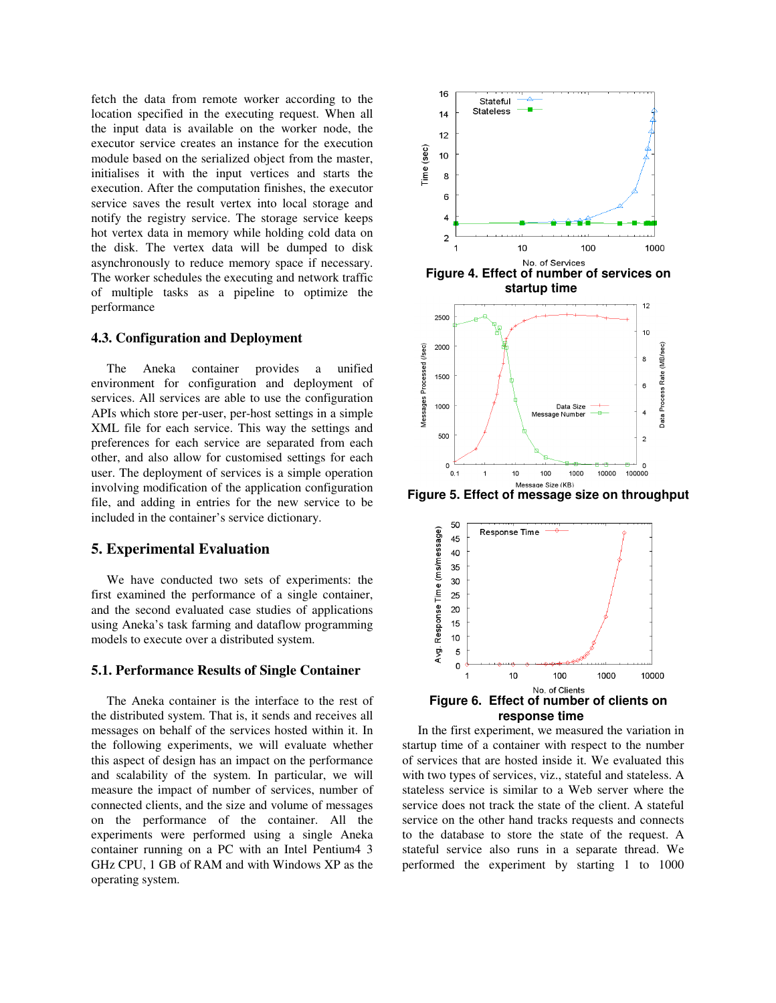fetch the data from remote worker according to the location specified in the executing request. When all the input data is available on the worker node, the executor service creates an instance for the execution module based on the serialized object from the master, initialises it with the input vertices and starts the execution. After the computation finishes, the executor service saves the result vertex into local storage and notify the registry service. The storage service keeps hot vertex data in memory while holding cold data on the disk. The vertex data will be dumped to disk asynchronously to reduce memory space if necessary. The worker schedules the executing and network traffic of multiple tasks as a pipeline to optimize the performance

## **4.3. Configuration and Deployment**

The Aneka container provides a unified environment for configuration and deployment of services. All services are able to use the configuration APIs which store per-user, per-host settings in a simple XML file for each service. This way the settings and preferences for each service are separated from each other, and also allow for customised settings for each user. The deployment of services is a simple operation involving modification of the application configuration file, and adding in entries for the new service to be included in the container's service dictionary.

### **5. Experimental Evaluation**

We have conducted two sets of experiments: the first examined the performance of a single container, and the second evaluated case studies of applications using Aneka's task farming and dataflow programming models to execute over a distributed system.

#### **5.1. Performance Results of Single Container**

The Aneka container is the interface to the rest of the distributed system. That is, it sends and receives all messages on behalf of the services hosted within it. In the following experiments, we will evaluate whether this aspect of design has an impact on the performance and scalability of the system. In particular, we will measure the impact of number of services, number of connected clients, and the size and volume of messages on the performance of the container. All the experiments were performed using a single Aneka container running on a PC with an Intel Pentium4 3 GHz CPU, 1 GB of RAM and with Windows XP as the operating system.



**Figure 5. Effect of message size on throughput**



In the first experiment, we measured the variation in startup time of a container with respect to the number of services that are hosted inside it. We evaluated this with two types of services, viz., stateful and stateless. A stateless service is similar to a Web server where the service does not track the state of the client. A stateful service on the other hand tracks requests and connects to the database to store the state of the request. A stateful service also runs in a separate thread. We performed the experiment by starting 1 to 1000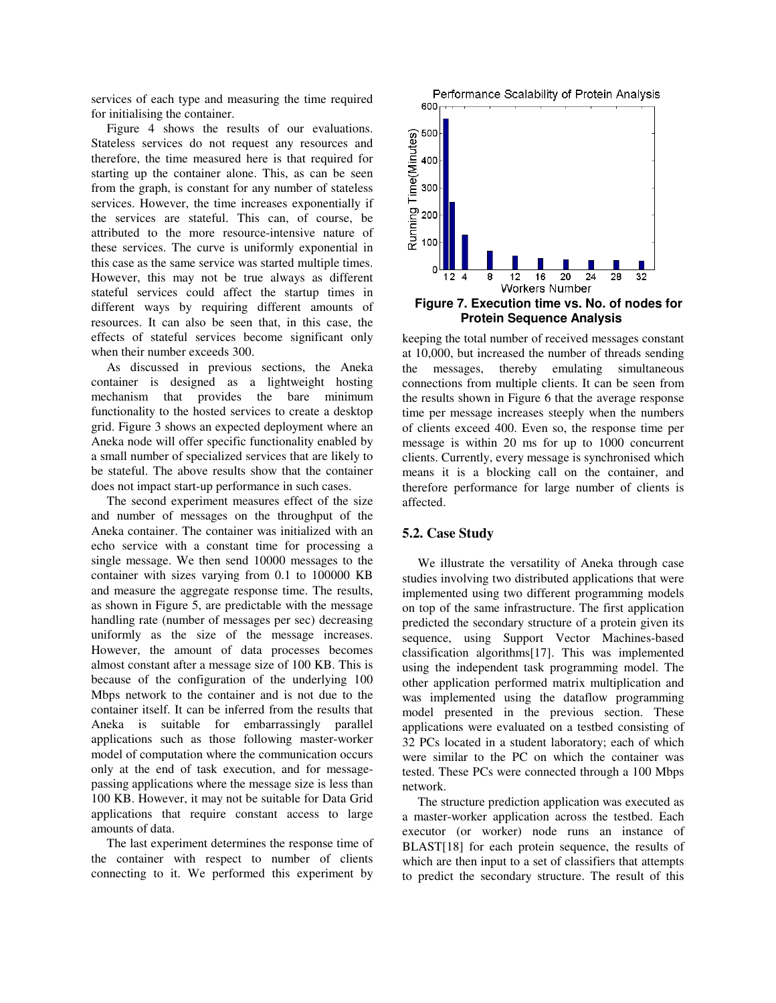services of each type and measuring the time required for initialising the container.

Figure 4 shows the results of our evaluations. Stateless services do not request any resources and therefore, the time measured here is that required for starting up the container alone. This, as can be seen from the graph, is constant for any number of stateless services. However, the time increases exponentially if the services are stateful. This can, of course, be attributed to the more resource-intensive nature of these services. The curve is uniformly exponential in this case as the same service was started multiple times. However, this may not be true always as different stateful services could affect the startup times in different ways by requiring different amounts of resources. It can also be seen that, in this case, the effects of stateful services become significant only when their number exceeds 300.

As discussed in previous sections, the Aneka container is designed as a lightweight hosting mechanism that provides the bare minimum functionality to the hosted services to create a desktop grid. Figure 3 shows an expected deployment where an Aneka node will offer specific functionality enabled by a small number of specialized services that are likely to be stateful. The above results show that the container does not impact start-up performance in such cases.

The second experiment measures effect of the size and number of messages on the throughput of the Aneka container. The container was initialized with an echo service with a constant time for processing a single message. We then send 10000 messages to the container with sizes varying from 0.1 to 100000 KB and measure the aggregate response time. The results, as shown in Figure 5, are predictable with the message handling rate (number of messages per sec) decreasing uniformly as the size of the message increases. However, the amount of data processes becomes almost constant after a message size of 100 KB. This is because of the configuration of the underlying 100 Mbps network to the container and is not due to the container itself. It can be inferred from the results that Aneka is suitable for embarrassingly parallel applications such as those following master-worker model of computation where the communication occurs only at the end of task execution, and for messagepassing applications where the message size is less than 100 KB. However, it may not be suitable for Data Grid applications that require constant access to large amounts of data.

The last experiment determines the response time of the container with respect to number of clients connecting to it. We performed this experiment by



**Figure 7. Execution time vs. No. of nodes for Protein Sequence Analysis** 

keeping the total number of received messages constant at 10,000, but increased the number of threads sending the messages, thereby emulating simultaneous connections from multiple clients. It can be seen from the results shown in Figure 6 that the average response time per message increases steeply when the numbers of clients exceed 400. Even so, the response time per message is within 20 ms for up to 1000 concurrent clients. Currently, every message is synchronised which means it is a blocking call on the container, and therefore performance for large number of clients is affected.

#### **5.2. Case Study**

We illustrate the versatility of Aneka through case studies involving two distributed applications that were implemented using two different programming models on top of the same infrastructure. The first application predicted the secondary structure of a protein given its sequence, using Support Vector Machines-based classification algorithms[17]. This was implemented using the independent task programming model. The other application performed matrix multiplication and was implemented using the dataflow programming model presented in the previous section. These applications were evaluated on a testbed consisting of 32 PCs located in a student laboratory; each of which were similar to the PC on which the container was tested. These PCs were connected through a 100 Mbps network.

The structure prediction application was executed as a master-worker application across the testbed. Each executor (or worker) node runs an instance of BLAST[18] for each protein sequence, the results of which are then input to a set of classifiers that attempts to predict the secondary structure. The result of this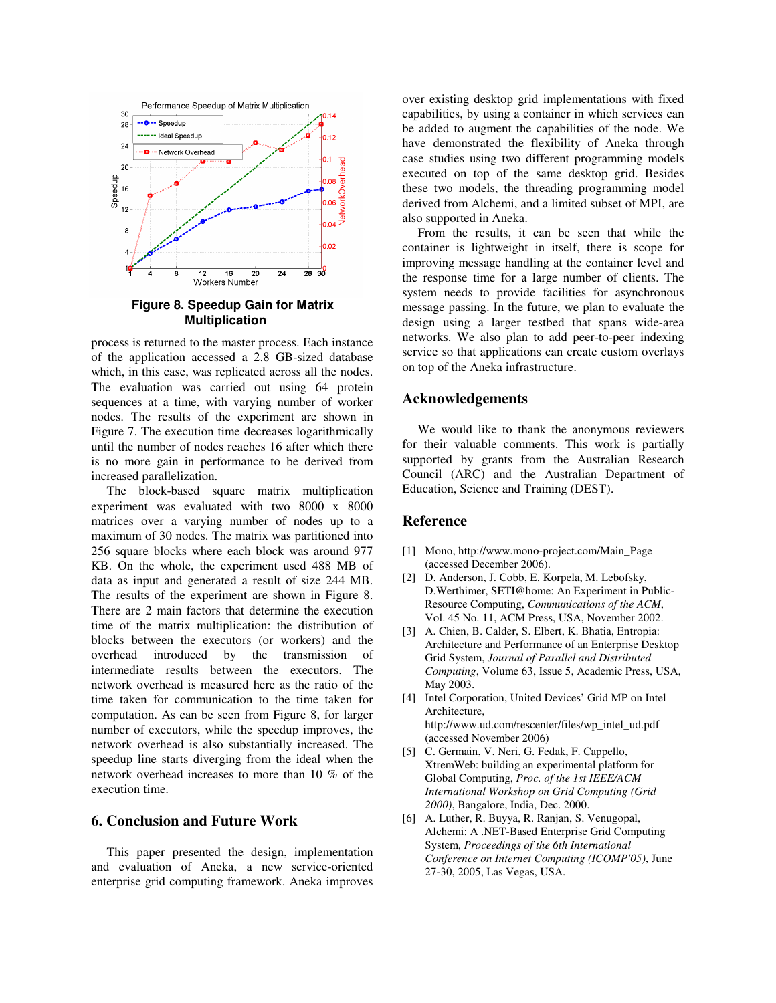

**Figure 8. Speedup Gain for Matrix Multiplication** 

process is returned to the master process. Each instance of the application accessed a 2.8 GB-sized database which, in this case, was replicated across all the nodes. The evaluation was carried out using 64 protein sequences at a time, with varying number of worker nodes. The results of the experiment are shown in Figure 7. The execution time decreases logarithmically until the number of nodes reaches 16 after which there is no more gain in performance to be derived from increased parallelization.

The block-based square matrix multiplication experiment was evaluated with two 8000 x 8000 matrices over a varying number of nodes up to a maximum of 30 nodes. The matrix was partitioned into 256 square blocks where each block was around 977 KB. On the whole, the experiment used 488 MB of data as input and generated a result of size 244 MB. The results of the experiment are shown in Figure 8. There are 2 main factors that determine the execution time of the matrix multiplication: the distribution of blocks between the executors (or workers) and the overhead introduced by the transmission of intermediate results between the executors. The network overhead is measured here as the ratio of the time taken for communication to the time taken for computation. As can be seen from Figure 8, for larger number of executors, while the speedup improves, the network overhead is also substantially increased. The speedup line starts diverging from the ideal when the network overhead increases to more than 10 % of the execution time.

#### **6. Conclusion and Future Work**

This paper presented the design, implementation and evaluation of Aneka, a new service-oriented enterprise grid computing framework. Aneka improves

over existing desktop grid implementations with fixed capabilities, by using a container in which services can be added to augment the capabilities of the node. We have demonstrated the flexibility of Aneka through case studies using two different programming models executed on top of the same desktop grid. Besides these two models, the threading programming model derived from Alchemi, and a limited subset of MPI, are also supported in Aneka.

From the results, it can be seen that while the container is lightweight in itself, there is scope for improving message handling at the container level and the response time for a large number of clients. The system needs to provide facilities for asynchronous message passing. In the future, we plan to evaluate the design using a larger testbed that spans wide-area networks. We also plan to add peer-to-peer indexing service so that applications can create custom overlays on top of the Aneka infrastructure.

#### **Acknowledgements**

We would like to thank the anonymous reviewers for their valuable comments. This work is partially supported by grants from the Australian Research Council (ARC) and the Australian Department of Education, Science and Training (DEST).

## **Reference**

- [1] Mono, http://www.mono-project.com/Main\_Page (accessed December 2006).
- [2] D. Anderson, J. Cobb, E. Korpela, M. Lebofsky, D.Werthimer, SETI@home: An Experiment in Public-Resource Computing, *Communications of the ACM*, Vol. 45 No. 11, ACM Press, USA, November 2002.
- [3] A. Chien, B. Calder, S. Elbert, K. Bhatia, Entropia: Architecture and Performance of an Enterprise Desktop Grid System, *Journal of Parallel and Distributed Computing*, Volume 63, Issue 5, Academic Press, USA, May 2003.
- [4] Intel Corporation, United Devices' Grid MP on Intel Architecture, http://www.ud.com/rescenter/files/wp\_intel\_ud.pdf (accessed November 2006)
- [5] C. Germain, V. Neri, G. Fedak, F. Cappello, XtremWeb: building an experimental platform for Global Computing, *Proc. of the 1st IEEE/ACM International Workshop on Grid Computing (Grid 2000)*, Bangalore, India, Dec. 2000.
- [6] A. Luther, R. Buyya, R. Ranjan, S. Venugopal, Alchemi: A .NET-Based Enterprise Grid Computing System, *Proceedings of the 6th International Conference on Internet Computing (ICOMP'05)*, June 27-30, 2005, Las Vegas, USA.